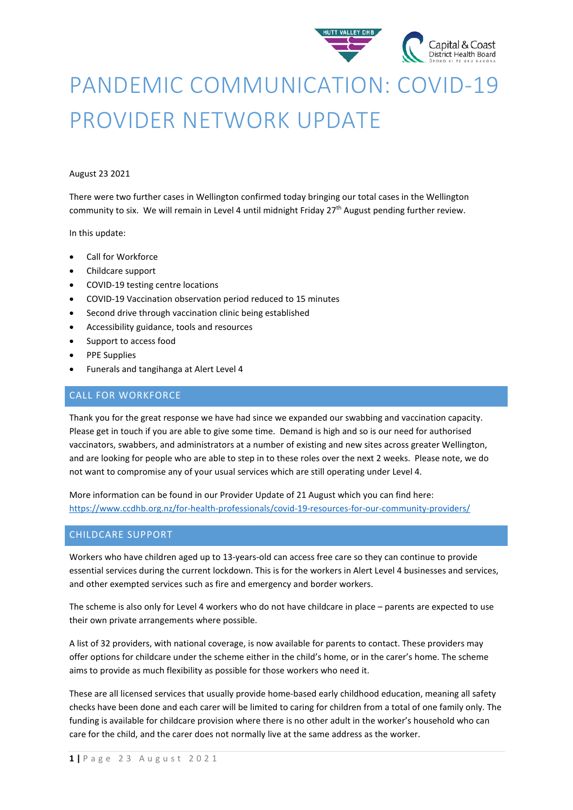

# PANDEMIC COMMUNICATION: COVID-19 PROVIDER NETWORK UPDATE

#### August 23 2021

There were two further cases in Wellington confirmed today bringing our total cases in the Wellington community to six. We will remain in Level 4 until midnight Friday 27<sup>th</sup> August pending further review.

#### In this update:

- Call for Workforce
- Childcare support
- COVID-19 testing centre locations
- COVID-19 Vaccination observation period reduced to 15 minutes
- Second drive through vaccination clinic being established
- Accessibility guidance, tools and resources
- Support to access food
- PPE Supplies
- Funerals and tangihanga at Alert Level 4

## CALL FOR WORKFORCE

Thank you for the great response we have had since we expanded our swabbing and vaccination capacity. Please get in touch if you are able to give some time. Demand is high and so is our need for authorised vaccinators, swabbers, and administrators at a number of existing and new sites across greater Wellington, and are looking for people who are able to step in to these roles over the next 2 weeks. Please note, we do not want to compromise any of your usual services which are still operating under Level 4.

More information can be found in our Provider Update of 21 August which you can find here: <https://www.ccdhb.org.nz/for-health-professionals/covid-19-resources-for-our-community-providers/>

## CHILDCARE SUPPORT

Workers who have children aged up to 13-years-old can access free care so they can continue to provide essential services during the current lockdown. This is for the workers in Alert Level 4 businesses and services, and other exempted services such as fire and emergency and border workers.

The scheme is also only for Level 4 workers who do not have childcare in place – parents are expected to use their own private arrangements where possible.

A list of 32 providers, with national coverage, is now available for parents to contact. These providers may offer options for childcare under the scheme either in the child's home, or in the carer's home. The scheme aims to provide as much flexibility as possible for those workers who need it.

These are all licensed services that usually provide home-based early childhood education, meaning all safety checks have been done and each carer will be limited to caring for children from a total of one family only. The funding is available for childcare provision where there is no other adult in the worker's household who can care for the child, and the carer does not normally live at the same address as the worker.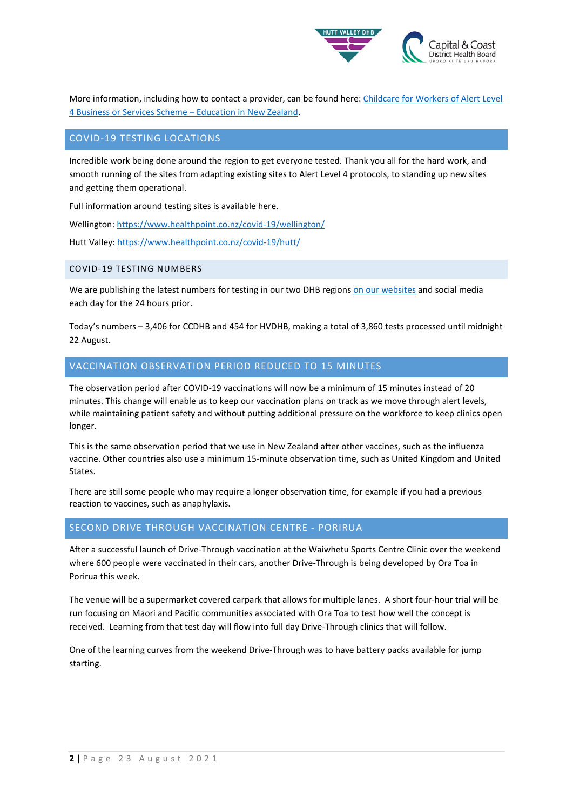

More information, including how to contact a provider, can be found here: Childcare for Workers of Alert Level [4 Business or Services Scheme –](https://urldefense.com/v3/__https:/www.education.govt.nz/covid-19/childcare-for-workers-of-alert-level-4-business-or-services-scheme/__;!!A3teau8g8Q!BlrGr-tJlU2fnen009tmwdlhxwr4vv0r3bh7GmtMA-Ad-VkylCxwkX37um11m5GZB5BeuAQGvZEZJQ$) Education in New Zealand.

# COVID-19 TESTING LOCATIONS

Incredible work being done around the region to get everyone tested. Thank you all for the hard work, and smooth running of the sites from adapting existing sites to Alert Level 4 protocols, to standing up new sites and getting them operational.

Full information around testing sites is available here.

Wellington[: https://www.healthpoint.co.nz/covid-19/wellington/](https://www.healthpoint.co.nz/covid-19/wellington/)

Hutt Valley:<https://www.healthpoint.co.nz/covid-19/hutt/>

## COVID-19 TESTING NUMBERS

We are publishing the latest numbers for testing in our two DHB region[s on our websites](https://www.ccdhb.org.nz/our-services/covid-19-community-based-assessment-centres-cbacs/covid-19-testing-numbers/) and social media each day for the 24 hours prior.

Today's numbers – 3,406 for CCDHB and 454 for HVDHB, making a total of 3,860 tests processed until midnight 22 August.

# VACCINATION OBSERVATION PERIOD REDUCED TO 15 MINUTES

The observation period after COVID-19 vaccinations will now be a minimum of 15 minutes instead of 20 minutes. This change will enable us to keep our vaccination plans on track as we move through alert levels, while maintaining patient safety and without putting additional pressure on the workforce to keep clinics open longer.

This is the same observation period that we use in New Zealand after other vaccines, such as the influenza vaccine. Other countries also use a minimum 15-minute observation time, such as United Kingdom and United States.

There are still some people who may require a longer observation time, for example if you had a previous reaction to vaccines, such as anaphylaxis.

# SECOND DRIVE THROUGH VACCINATION CENTRE - PORIRUA

After a successful launch of Drive-Through vaccination at the Waiwhetu Sports Centre Clinic over the weekend where 600 people were vaccinated in their cars, another Drive-Through is being developed by Ora Toa in Porirua this week.

The venue will be a supermarket covered carpark that allows for multiple lanes. A short four-hour trial will be run focusing on Maori and Pacific communities associated with Ora Toa to test how well the concept is received. Learning from that test day will flow into full day Drive-Through clinics that will follow.

One of the learning curves from the weekend Drive-Through was to have battery packs available for jump starting.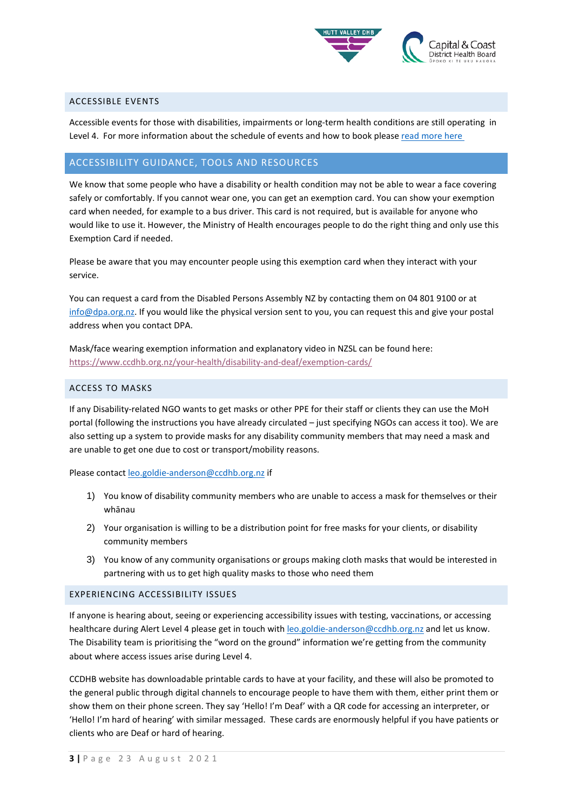

#### ACCESSIBLE EVENTS

Accessible events for those with disabilities, impairments or long-term health conditions are still operating in Level 4. For more information about the schedule of events and how to book please read more here

# ACCESSIBILITY GUIDANCE, TOOLS AND RESOURCES

We know that some people who have a disability or health condition may not be able to wear a face covering safely or comfortably. If you cannot wear one, you can get an exemption card. You can show your exemption card when needed, for example to a bus driver. This card is not required, but is available for anyone who would like to use it. However, the Ministry of Health encourages people to do the right thing and only use this Exemption Card if needed.

Please be aware that you may encounter people using this exemption card when they interact with your service.

You can request a card from the Disabled Persons Assembly NZ by contacting them on 04 801 9100 or at [info@dpa.org.nz.](mailto:info@dpa.org.nz) If you would like the physical version sent to you, you can request this and give your postal address when you contact DPA.

Mask/face wearing exemption information and explanatory video in NZSL can be found here: <https://www.ccdhb.org.nz/your-health/disability-and-deaf/exemption-cards/>

#### ACCESS TO MASKS

If any Disability-related NGO wants to get masks or other PPE for their staff or clients they can use the MoH portal (following the instructions you have already circulated – just specifying NGOs can access it too). We are also setting up a system to provide masks for any disability community members that may need a mask and are unable to get one due to cost or transport/mobility reasons.

Please contact [leo.goldie-anderson@ccdhb.org.nz](mailto:leo.goldie-anderson@ccdhb.org.nz) if

- 1) You know of disability community members who are unable to access a mask for themselves or their whānau
- 2) Your organisation is willing to be a distribution point for free masks for your clients, or disability community members
- 3) You know of any community organisations or groups making cloth masks that would be interested in partnering with us to get high quality masks to those who need them

#### EXPERIENCING ACCESSIBILITY ISSUES

If anyone is hearing about, seeing or experiencing accessibility issues with testing, vaccinations, or accessing healthcare during Alert Level 4 please get in touch with [leo.goldie-anderson@ccdhb.org.nz](mailto:leo.goldie-anderson@ccdhb.org.nz) and let us know. The Disability team is prioritising the "word on the ground" information we're getting from the community about where access issues arise during Level 4.

CCDHB website has downloadable printable cards to have at your facility, and these will also be promoted to the general public through digital channels to encourage people to have them with them, either print them or show them on their phone screen. They say 'Hello! I'm Deaf' with a QR code for accessing an interpreter, or 'Hello! I'm hard of hearing' with similar messaged. These cards are enormously helpful if you have patients or clients who are Deaf or hard of hearing.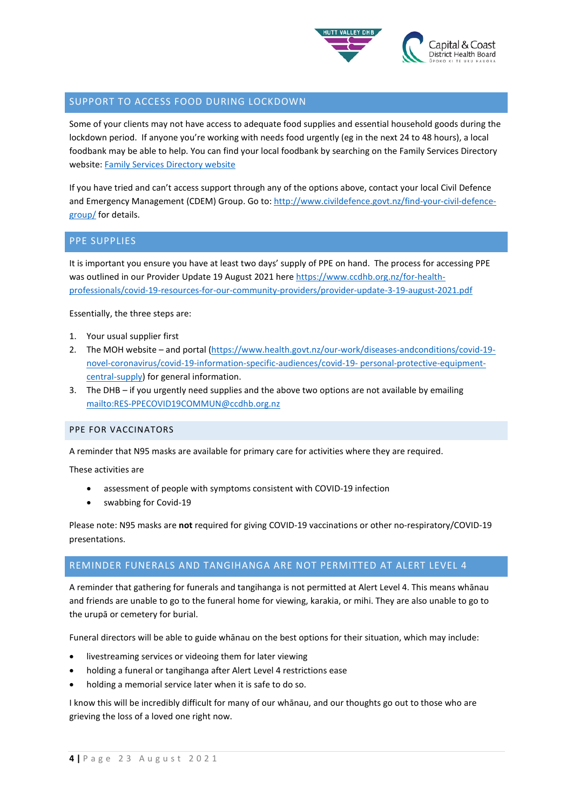

## SUPPORT TO ACCESS FOOD DURING LOCKDOWN

Some of your clients may not have access to adequate food supplies and essential household goods during the lockdown period. If anyone you're working with needs food urgently (eg in the next 24 to 48 hours), a local foodbank may be able to help. You can find your local foodbank by searching on the Family Services Directory website: [Family Services Directory website](https://www.familyservices.govt.nz/directory/searchresultspublic.htm?pageNumber=1&searchRegion=1&cat1=68&expandCategories=false&searchTerms=Food&searchByProviderName=false&cat2=110&pageSize=10)

If you have tried and can't access support through any of the options above, contact your local Civil Defence and Emergency Management (CDEM) Group. Go to[: http://www.civildefence.govt.nz/find-your-civil-defence](http://www.civildefence.govt.nz/find-your-civil-defence-group/)[group/](http://www.civildefence.govt.nz/find-your-civil-defence-group/) for details.

## PPE SUPPLIES

It is important you ensure you have at least two days' supply of PPE on hand. The process for accessing PPE was outlined in our Provider Update 19 August 2021 here [https://www.ccdhb.org.nz/for-health](https://www.ccdhb.org.nz/for-health-professionals/covid-19-resources-for-our-community-providers/provider-update-3-19-august-2021.pdf)[professionals/covid-19-resources-for-our-community-providers/provider-update-3-19-august-2021.pdf](https://www.ccdhb.org.nz/for-health-professionals/covid-19-resources-for-our-community-providers/provider-update-3-19-august-2021.pdf)

Essentially, the three steps are:

- 1. Your usual supplier first
- 2. The MOH website and portal [\(https://www.health.govt.nz/our-work/diseases-andconditions/covid-19](https://www.health.govt.nz/our-work/diseases-andconditions/covid-19-novel-coronavirus/covid-19-information-specific-audiences/covid-19-%20personal-protective-equipment-central-supply) [novel-coronavirus/covid-19-information-specific-audiences/covid-19-](https://www.health.govt.nz/our-work/diseases-andconditions/covid-19-novel-coronavirus/covid-19-information-specific-audiences/covid-19-%20personal-protective-equipment-central-supply) personal-protective-equipment[central-supply\)](https://www.health.govt.nz/our-work/diseases-andconditions/covid-19-novel-coronavirus/covid-19-information-specific-audiences/covid-19-%20personal-protective-equipment-central-supply) for general information.
- 3. The DHB if you urgently need supplies and the above two options are not available by emailing <mailto:RES-PPECOVID19COMMUN@ccdhb.org.nz>

#### PPE FOR VACCINATORS

A reminder that N95 masks are available for primary care for activities where they are required.

These activities are

- assessment of people with symptoms consistent with COVID-19 infection
- swabbing for Covid-19

Please note: N95 masks are **not** required for giving COVID-19 vaccinations or other no-respiratory/COVID-19 presentations.

# REMINDER FUNERALS AND TANGIHANGA ARE NOT PERMITTED AT ALERT LEVEL 4

A reminder that gathering for funerals and tangihanga is not permitted at Alert Level 4. This means whānau and friends are unable to go to the funeral home for viewing, karakia, or mihi. They are also unable to go to the urupā or cemetery for burial.

Funeral directors will be able to guide whānau on the best options for their situation, which may include:

- livestreaming services or videoing them for later viewing
- holding a funeral or tangihanga after Alert Level 4 restrictions ease
- holding a memorial service later when it is safe to do so.

I know this will be incredibly difficult for many of our whānau, and our thoughts go out to those who are grieving the loss of a loved one right now.